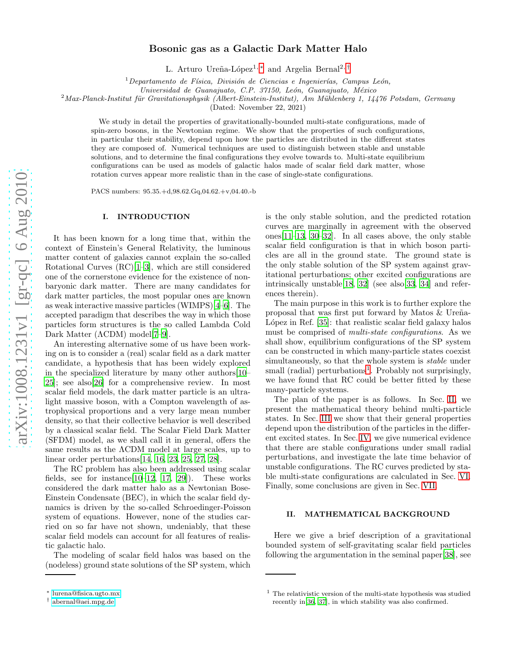# Bosonic gas as a Galactic Dark Matter Halo

L. Arturo Ureña-López<sup>1,\*</sup> and Argelia Bernal<sup>2,[†](#page-0-1)</sup>

 $1$ Departamento de Física, División de Ciencias e Ingenierías, Campus León,

 $Universalide$  Guanajuato, C.P. 37150, León, Guanajuato, México

 $^{2}$ Max-Planck-Institut für Gravitationsphysik (Albert-Einstein-Institut), Am Mühlenberg 1, 14476 Potsdam, Germany

(Dated: November 22, 2021)

We study in detail the properties of gravitationally-bounded multi-state configurations, made of spin-zero bosons, in the Newtonian regime. We show that the properties of such configurations, in particular their stability, depend upon how the particles are distributed in the different states they are composed of. Numerical techniques are used to distinguish between stable and unstable solutions, and to determine the final configurations they evolve towards to. Multi-state equilibrium configurations can be used as models of galactic halos made of scalar field dark matter, whose rotation curves appear more realistic than in the case of single-state configurations.

PACS numbers: 95.35.+d,98.62.Gq,04.62.+v,04.40.-b

# I. INTRODUCTION

It has been known for a long time that, within the context of Einstein's General Relativity, the luminous matter content of galaxies cannot explain the so-called Rotational Curves (RC)[\[1](#page-12-0)[–3\]](#page-12-1), which are still considered one of the cornerstone evidence for the existence of nonbaryonic dark matter. There are many candidates for dark matter particles, the most popular ones are known as weak interactive massive particles (WIMPS)[\[4](#page-12-2)[–6](#page-13-0)]. The accepted paradigm that describes the way in which those particles form structures is the so called Lambda Cold Dark Matter (ΛCDM) model[\[7](#page-13-1)[–9\]](#page-13-2).

An interesting alternative some of us have been working on is to consider a (real) scalar field as a dark matter candidate, a hypothesis that has been widely explored in the specialized literature by many other authors[\[10](#page-13-3)– [25\]](#page-13-4); see also[\[26](#page-13-5)] for a comprehensive review. In most scalar field models, the dark matter particle is an ultralight massive boson, with a Compton wavelength of astrophysical proportions and a very large mean number density, so that their collective behavior is well described by a classical scalar field. The Scalar Field Dark Matter (SFDM) model, as we shall call it in general, offers the same results as the ΛCDM model at large scales, up to linear order perturbations[\[14,](#page-13-6) [16,](#page-13-7) [23,](#page-13-8) [25,](#page-13-4) [27,](#page-13-9) [28\]](#page-13-10).

The RC problem has also been addressed using scalar fields, see for instance $[10-12, 17, 29]$  $[10-12, 17, 29]$  $[10-12, 17, 29]$  $[10-12, 17, 29]$  $[10-12, 17, 29]$ . These works considered the dark matter halo as a Newtonian Bose-Einstein Condensate (BEC), in which the scalar field dynamics is driven by the so-called Schroedinger-Poisson system of equations. However, none of the studies carried on so far have not shown, undeniably, that these scalar field models can account for all features of realistic galactic halo.

The modeling of scalar field halos was based on the (nodeless) ground state solutions of the SP system, which is the only stable solution, and the predicted rotation curves are marginally in agreement with the observed ones[\[11](#page-13-14)[–13,](#page-13-15) [30](#page-13-16)[–32\]](#page-13-17). In all cases above, the only stable scalar field configuration is that in which boson particles are all in the ground state. The ground state is the only stable solution of the SP system against gravitational perturbations; other excited configurations are intrinsically unstable[\[18,](#page-13-18) [32](#page-13-17)] (see also[\[33](#page-13-19), [34](#page-13-20)] and references therein).

The main purpose in this work is to further explore the proposal that was first put forward by Matos  $&$  Ureña-López in Ref.  $[35]$ : that realistic scalar field galaxy halos must be comprised of multi-state configurations. As we shall show, equilibrium configurations of the SP system can be constructed in which many-particle states coexist simultaneously, so that the whole system is stable under small (radial) perturbations<sup>[1](#page-0-2)</sup>. Probably not surprisingly, we have found that RC could be better fitted by these many-particle systems.

The plan of the paper is as follows. In Sec. [II,](#page-0-3) we present the mathematical theory behind multi-particle states. In Sec. [III](#page-2-0) we show that their general properties depend upon the distribution of the particles in the different excited states. In Sec. [IV,](#page-5-0) we give numerical evidence that there are stable configurations under small radial perturbations, and investigate the late time behavior of unstable configurations. The RC curves predicted by stable multi-state configurations are calculated in Sec. [VI.](#page-10-0) Finally, some conclusions are given in Sec. [VII.](#page-12-3)

## <span id="page-0-3"></span>II. MATHEMATICAL BACKGROUND

Here we give a brief description of a gravitational bounded system of self-gravitating scalar field particles following the argumentation in the seminal paper[\[38\]](#page-13-22), see

<span id="page-0-0"></span><sup>∗</sup> [lurena@fisica.ugto.mx](mailto:lurena@fisica.ugto.mx)

<span id="page-0-1"></span><sup>†</sup> [abernal@aei.mpg.de](mailto:abernal@aei.mpg.de)

<span id="page-0-2"></span> $<sup>1</sup>$  The relativistic version of the multi-state hypothesis was studied</sup> recently in[\[36](#page-13-23), [37](#page-13-24)], in which stability was also confirmed.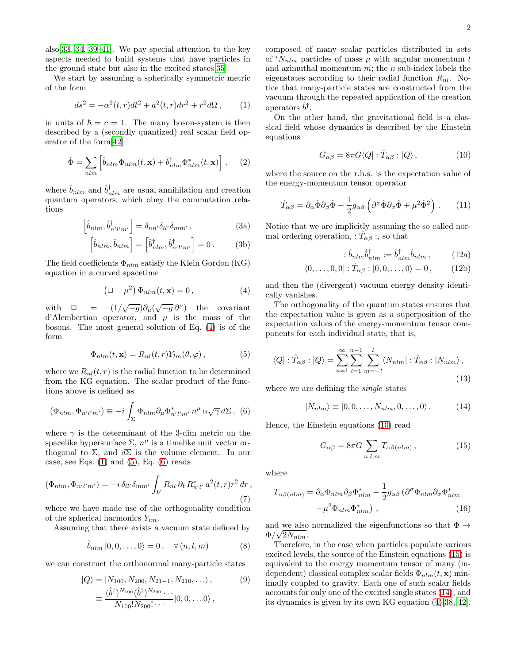also[\[33,](#page-13-19) [34,](#page-13-20) [39](#page-13-25)[–41](#page-13-26)]. We pay special attention to the key aspects needed to build systems that have particles in the ground state but also in the excited states[\[35](#page-13-21)].

We start by assuming a spherically symmetric metric of the form

<span id="page-1-1"></span>
$$
ds^{2} = -\alpha^{2}(t,r)dt^{2} + a^{2}(t,r)dr^{2} + r^{2}d\Omega, \qquad (1)
$$

in units of  $\hbar = c = 1$ . The many boson-system is then described by a (secondly quantized) real scalar field operator of the form[\[42\]](#page-13-27)

$$
\hat{\Phi} = \sum_{nlm} \left[ \hat{b}_{nlm} \Phi_{nlm}(t, \mathbf{x}) + \hat{b}_{nlm}^{\dagger} \Phi_{nlm}^{*}(t, \mathbf{x}) \right], \quad (2)
$$

where  $\hat{b}_{nlm}$  and  $\hat{b}^{\dagger}_{nlm}$  are usual annihilation and creation quantum operators, which obey the commutation relations

$$
\left[\hat{b}_{nlm}, \hat{b}_{n'l'm'}^{\dagger}\right] = \delta_{nn'}\delta_{ll'}\delta_{mm'},\tag{3a}
$$

$$
\left[\hat{b}_{nlm}, \hat{b}_{nlm}\right] = \left[\hat{b}_{nlm}^{\dagger}, \hat{b}_{n'l'm'}^{\dagger}\right] = 0. \tag{3b}
$$

The field coefficients  $\Phi_{nlm}$  satisfy the Klein Gordon (KG) equation in a curved spacetime

<span id="page-1-0"></span>
$$
\left(\Box - \mu^2\right) \Phi_{nlm}(t, \mathbf{x}) = 0, \tag{4}
$$

with  $\Box$  =  $\sqrt{-g}\partial_\mu(\sqrt{-g}\,\partial^\mu)$  the covariant d'Alembertian operator, and  $\mu$  is the mass of the bosons. The most general solution of Eq. [\(4\)](#page-1-0) is of the form

<span id="page-1-2"></span>
$$
\Phi_{nlm}(t, \mathbf{x}) = R_{nl}(t, r) Y_{lm}(\theta, \varphi), \qquad (5)
$$

where we  $R_{nl}(t, r)$  is the radial function to be determined from the KG equation. The scalar product of the functions above is defined as

<span id="page-1-3"></span>
$$
(\Phi_{nlm}, \Phi_{n'l'm'}) \equiv -i \int_{\Sigma} \Phi_{nlm} \partial_{\mu} \Phi_{n'l'm'}^* n^{\mu} \alpha \sqrt{\gamma} d\Sigma , \tag{6}
$$

where  $\gamma$  is the determinant of the 3-dim metric on the spacelike hypersurface  $\Sigma$ ,  $n^{\mu}$  is a timelike unit vector orthogonal to  $\Sigma$ , and  $d\Sigma$  is the volume element. In our case, see Eqs.  $(1)$  and  $(5)$ , Eq.  $(6)$  reads

$$
(\Phi_{nlm}, \Phi_{n'l'm'}) = -i \,\delta_{ll'} \delta_{mm'} \int_V R_{nl} \,\partial_t R_{n'l'}^* \,a^2(t, r) r^2 \,dr \,,\tag{7}
$$

where we have made use of the orthogonality condition of the spherical harmonics  $Y_{lm}$ .

Assuming that there exists a vacuum state defined by

$$
\hat{b}_{nlm} |0,0,\ldots,0\rangle = 0 , \quad \forall (n,l,m)
$$
 (8)

we can construct the orthonormal many-particle states

$$
|Q\rangle = |N_{100}, N_{200}, N_{21-1}, N_{210}, \dots\rangle, \qquad (9)
$$
  

$$
\equiv \frac{(\hat{b}^{\dagger})^{N_{100}}(\hat{b}^{\dagger})^{N_{200}} \cdots}{N_{100}! N_{200}! \cdots} |0, 0, \dots 0\rangle,
$$

composed of many scalar particles distributed in sets of  ${}^{i}N_{nlm}$  particles of mass  $\mu$  with angular momentum l and azimuthal momentum  $m$ ; the  $n$  sub-index labels the eigenstates according to their radial function  $R_{nl}$ . Notice that many-particle states are constructed from the vacuum through the repeated application of the creation operators  $\hat{b}^{\dagger}$ .

On the other hand, the gravitational field is a classical field whose dynamics is described by the Einstein equations

<span id="page-1-4"></span>
$$
G_{\alpha\beta} = 8\pi G \langle Q| : \hat{T}_{\alpha\beta} : |Q\rangle, \qquad (10)
$$

where the source on the r.h.s. is the expectation value of the energy-momentum tensor operator

$$
\hat{T}_{\alpha\beta} = \partial_{\alpha}\hat{\Phi}\partial_{\beta}\hat{\Phi} - \frac{1}{2}g_{\alpha\beta}\left(\partial^{\sigma}\hat{\Phi}\partial_{\sigma}\hat{\Phi} + \mu^2\hat{\Phi}^2\right). \tag{11}
$$

Notice that we are implicitly assuming the so called normal ordering operation, :  $\hat{T}_{\alpha\beta}$  :, so that

$$
\hat{b}_{nlm}\hat{b}_{nlm}^{\dagger} := \hat{b}_{nlm}^{\dagger}\hat{b}_{nlm},\qquad(12a)
$$

$$
\langle 0, \ldots, 0, 0 | : \hat{T}_{\alpha\beta} : |0, 0, \ldots, 0 \rangle = 0, \qquad (12b)
$$

and then the (divergent) vacuum energy density identically vanishes.

The orthogonality of the quantum states ensures that the expectation value is given as a superposition of the expectation values of the energy-momentum tensor components for each individual state, that is,

$$
\langle Q| : \hat{T}_{\alpha\beta} : |Q\rangle = \sum_{n=1}^{\infty} \sum_{l=1}^{n-1} \sum_{m=-l}^{l} \langle N_{nlm} | : \hat{T}_{\alpha\beta} : |N_{nlm}\rangle ,
$$
\n(13)

where we are defining the *single* states

<span id="page-1-6"></span>
$$
|N_{nlm}\rangle \equiv |0,0,\ldots,N_{nlm},0,\ldots,0\rangle. \tag{14}
$$

Hence, the Einstein equations [\(10\)](#page-1-4) read

<span id="page-1-5"></span>
$$
G_{\alpha\beta} = 8\pi G \sum_{n,l,m} T_{\alpha\beta(nlm)} , \qquad (15)
$$

where

$$
T_{\alpha\beta(nlm)} = \partial_{\alpha}\Phi_{nlm}\partial_{\beta}\Phi_{nlm}^{*} - \frac{1}{2}g_{\alpha\beta}(\partial^{\sigma}\Phi_{nlm}\partial_{\sigma}\Phi_{nlm}^{*} + \mu^{2}\Phi_{nlm}\Phi_{nlm}^{*}),
$$
\n(16)

and we also normalized the eigenfunctions so that  $\Phi \rightarrow$  $\Phi/\sqrt{2N_{nlm}}$ .

Therefore, in the case when particles populate various excited levels, the source of the Einstein equations [\(15\)](#page-1-5) is equivalent to the energy momentum tensor of many (independent) classical complex scalar fields  $\Phi_{nlm}(t, \mathbf{x})$  minimally coupled to gravity. Each one of such scalar fields accounts for only one of the excited single states [\(14\)](#page-1-6), and its dynamics is given by its own KG equation [\(4\)](#page-1-0)[\[38,](#page-13-22) [42\]](#page-13-27).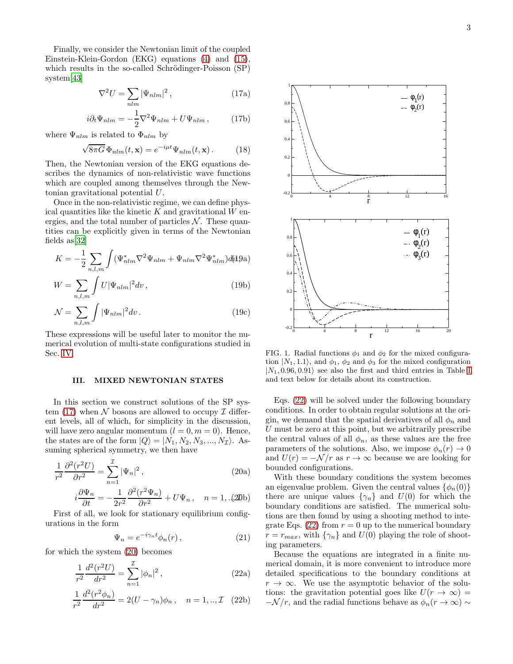Finally, we consider the Newtonian limit of the coupled Einstein-Klein-Gordon (EKG) equations [\(4\)](#page-1-0) and [\(15\)](#page-1-5), which results in the so-called Schrödinger-Poisson (SP) system[\[43\]](#page-13-28)

<span id="page-2-1"></span>
$$
\nabla^2 U = \sum_{nlm} |\Psi_{nlm}|^2 , \qquad (17a)
$$

$$
i\partial_t \Psi_{nlm} = -\frac{1}{2} \nabla^2 \Psi_{nlm} + U \Psi_{nlm} , \qquad (17b)
$$

where  $\Psi_{nlm}$  is related to  $\Phi_{nlm}$  by

$$
\sqrt{8\pi G} \, \Phi_{nlm}(t, \mathbf{x}) = e^{-i\mu t} \Psi_{nlm}(t, \mathbf{x}). \tag{18}
$$

Then, the Newtonian version of the EKG equations describes the dynamics of non-relativistic wave functions which are coupled among themselves through the Newtonian gravitational potential U.

Once in the non-relativistic regime, we can define physical quantities like the kinetic  $K$  and gravitational  $W$  energies, and the total number of particles  $N$ . These quantities can be explicitly given in terms of the Newtonian fields as[\[32](#page-13-17)]

$$
K = -\frac{1}{2} \sum_{n,l,m} \int (\Psi_{nlm}^* \nabla^2 \Psi_{nlm} + \Psi_{nlm} \nabla^2 \Psi_{nlm}^*) d\theta
$$

$$
W = \sum_{n,l,m} \int U |\Psi_{nlm}|^2 dv , \qquad (19b)
$$

$$
\mathcal{N} = \sum_{n,l,m} \int |\Psi_{nlm}|^2 dv \,. \tag{19c}
$$

These expressions will be useful later to monitor the numerical evolution of multi-state configurations studied in Sec. [IV.](#page-5-0)

#### <span id="page-2-0"></span>III. MIXED NEWTONIAN STATES

In this section we construct solutions of the SP sys-tem [\(17\)](#page-2-1) when N bosons are allowed to occupy  $\mathcal I$  different levels, all of which, for simplicity in the discussion, will have zero angular momentum  $(l = 0, m = 0)$ . Hence, the states are of the form  $|Q\rangle = |N_1, N_2, N_3, ..., N_{\mathcal{I}}\rangle$ . Assuming spherical symmetry, we then have

$$
\frac{1}{r^2} \frac{\partial^2 (r^2 U)}{\partial r^2} = \sum_{n=1}^{\mathcal{I}} |\Psi_n|^2, \qquad (20a)
$$

$$
i\frac{\partial \Psi_n}{\partial t} = -\frac{1}{2r^2} \frac{\partial^2 (r^2 \Psi_n)}{\partial r^2} + U \Psi_n, \quad n = 1,..(\mathfrak{W})
$$

First of all, we look for stationary equilibrium configurations in the form

<span id="page-2-5"></span><span id="page-2-3"></span>
$$
\Psi_n = e^{-i\gamma_n t} \phi_n(r) \,, \tag{21}
$$

for which the system [\(20\)](#page-2-2) becomes

$$
\frac{1}{r^2} \frac{d^2(r^2 U)}{dr^2} = \sum_{n=1}^{\mathcal{I}} |\phi_n|^2, \qquad (22a)
$$

$$
\frac{1}{r^2} \frac{d^2(r^2 \phi_n)}{dr^2} = 2(U - \gamma_n)\phi_n, \quad n = 1,.., \mathcal{I} \quad (22b)
$$



<span id="page-2-4"></span>FIG. 1. Radial functions  $\phi_1$  and  $\phi_2$  for the mixed configuration  $|N_1, 1.1\rangle$ , and  $\phi_1, \phi_2$  and  $\phi_3$  for the mixed configuration  $|N_1, 0.96, 0.91\rangle$  see also the first and third entries in Table [I](#page-3-0) and text below for details about its construction.

Eqs. [\(22\)](#page-2-3) will be solved under the following boundary conditions. In order to obtain regular solutions at the origin, we demand that the spatial derivatives of all  $\phi_n$  and  $U$  must be zero at this point, but we arbitrarily prescribe the central values of all  $\phi_n$ , as these values are the free parameters of the solutions. Also, we impose  $\phi_n(r) \to 0$ and  $U(r) = -\mathcal{N}/r$  as  $r \to \infty$  because we are looking for bounded configurations.

<span id="page-2-2"></span>With these boundary conditions the system becomes an eigenvalue problem. Given the central values  $\{\phi_n(0)\}\$ there are unique values  $\{\gamma_n\}$  and  $U(0)$  for which the boundary conditions are satisfied. The numerical solutions are then found by using a shooting method to inte-grate Eqs. [\(22\)](#page-2-3) from  $r = 0$  up to the numerical boundary  $r = r_{max}$ , with  $\{\gamma_n\}$  and  $U(0)$  playing the role of shooting parameters.

Because the equations are integrated in a finite numerical domain, it is more convenient to introduce more detailed specifications to the boundary conditions at  $r \to \infty$ . We use the asymptotic behavior of the solutions: the gravitation potential goes like  $U(r \to \infty)$  =  $-\mathcal{N}/r$ , and the radial functions behave as  $\phi_n(r \to \infty) \sim$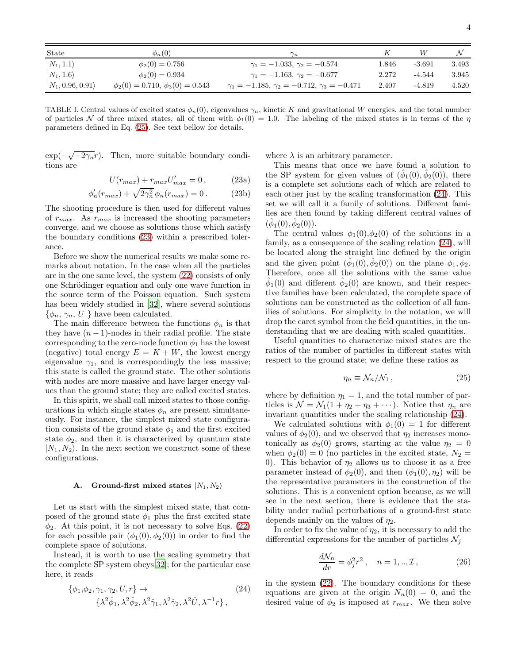| State                     | $\phi_n(0)$                              | $\gamma_n$                                                | ĸ     |          |       |
|---------------------------|------------------------------------------|-----------------------------------------------------------|-------|----------|-------|
| $ N_1, 1.1\rangle$        | $\phi_2(0) = 0.756$                      | $\gamma_1 = -1.033, \gamma_2 = -0.574$                    | 1.846 | $-3.691$ | 3.493 |
| $ N_1, 1.6\rangle$        | $\phi_2(0) = 0.934$                      | $\gamma_1 = -1.163, \gamma_2 = -0.677$                    | 2.272 | $-4.544$ | 3.945 |
| $ N_1, 0.96, 0.91\rangle$ | $\phi_2(0) = 0.710, \ \phi_3(0) = 0.543$ | $\gamma_1 = -1.185, \gamma_2 = -0.712, \gamma_3 = -0.471$ | 2.407 | $-4.819$ | 4.520 |

<span id="page-3-0"></span>TABLE I. Central values of excited states  $\phi_n(0)$ , eigenvalues  $\gamma_n$ , kinetic K and gravitational W energies, and the total number of particles N of three mixed states, all of them with  $\phi_1(0) = 1.0$ . The labeling of the mixed states is in terms of the  $\eta$ parameters defined in Eq. [\(25\)](#page-3-1). See text bellow for details.

 $\exp(-\sqrt{-2\gamma_n}r)$ . Then, more suitable boundary conditions are

<span id="page-3-2"></span>
$$
U(r_{max}) + r_{max}U'_{max} = 0, \qquad (23a)
$$

$$
\phi'_n(r_{max}) + \sqrt{2\gamma_n^2} \phi_n(r_{max}) = 0. \tag{23b}
$$

The shooting procedure is then used for different values of  $r_{max}$ . As  $r_{max}$  is increased the shooting parameters converge, and we choose as solutions those which satisfy the boundary conditions [\(23\)](#page-3-2) within a prescribed tolerance.

Before we show the numerical results we make some remarks about notation. In the case when all the particles are in the one same level, the system [\(22\)](#page-2-3) consists of only one Schrödinger equation and only one wave function in the source term of the Poisson equation. Such system has been widely studied in [\[32\]](#page-13-17), where several solutions  $\{\phi_n, \gamma_n, U\}$  have been calculated.

The main difference between the functions  $\phi_n$  is that they have  $(n-1)$ -nodes in their radial profile. The state corresponding to the zero-node function  $\phi_1$  has the lowest (negative) total energy  $E = K + W$ , the lowest energy eigenvalue  $\gamma_1$ , and is correspondingly the less massive; this state is called the ground state. The other solutions with nodes are more massive and have larger energy values than the ground state; they are called excited states.

In this spirit, we shall call mixed states to those configurations in which single states  $\phi_n$  are present simultaneously. For instance, the simplest mixed state configuration consists of the ground state  $\phi_1$  and the first excited state  $\phi_2$ , and then it is characterized by quantum state  $|N_1, N_2\rangle$ . In the next section we construct some of these configurations.

#### <span id="page-3-5"></span>A. Ground-first mixed states  $|N_1, N_2\rangle$

Let us start with the simplest mixed state, that composed of the ground state  $\phi_1$  plus the first excited state  $\phi_2$ . At this point, it is not necessary to solve Eqs. [\(22\)](#page-2-3) for each possible pair  $(\phi_1(0), \phi_2(0))$  in order to find the complete space of solutions.

Instead, it is worth to use the scaling symmetry that the complete SP system obeys[\[32\]](#page-13-17); for the particular case here, it reads

<span id="page-3-3"></span>
$$
\{\phi_1, \phi_2, \gamma_1, \gamma_2, U, r\} \rightarrow \qquad (24)
$$
  

$$
\{\lambda^2 \hat{\phi}_1, \lambda^2 \hat{\phi}_2, \lambda^2 \hat{\gamma}_1, \lambda^2 \hat{\gamma}_2, \lambda^2 \hat{U}, \lambda^{-1} r\},
$$

where  $\lambda$  is an arbitrary parameter.

This means that once we have found a solution to the SP system for given values of  $(\hat{\phi}_1(0), \hat{\phi}_2(0))$ , there is a complete set solutions each of which are related to each other just by the scaling transformation [\(24\)](#page-3-3). This set we will call it a family of solutions. Different families are then found by taking different central values of  $(\hat{\phi}_1(0), \hat{\phi}_2(0)).$ 

The central values  $\phi_1(0), \phi_2(0)$  of the solutions in a family, as a consequence of the scaling relation [\(24\)](#page-3-3), will be located along the straight line defined by the origin and the given point  $(\hat{\phi}_1(0), \hat{\phi}_2(0))$  on the plane  $\phi_1, \phi_2$ . Therefore, once all the solutions with the same value  $\hat{\phi}_1(0)$  and different  $\hat{\phi}_2(0)$  are known, and their respective families have been calculated, the complete space of solutions can be constructed as the collection of all families of solutions. For simplicity in the notation, we will drop the caret symbol from the field quantities, in the understanding that we are dealing with scaled quantities.

Useful quantities to characterize mixed states are the ratios of the number of particles in different states with respect to the ground state; we define these ratios as

<span id="page-3-1"></span>
$$
\eta_n \equiv \mathcal{N}_n / \mathcal{N}_1 \,, \tag{25}
$$

where by definition  $\eta_1 = 1$ , and the total number of particles is  $\mathcal{N} = \mathcal{N}_1(1 + \eta_2 + \eta_3 + \cdots)$ . Notice that  $\eta_n$  are invariant quantities under the scaling relationship [\(24\)](#page-3-3).

We calculated solutions with  $\phi_1(0) = 1$  for different values of  $\phi_2(0)$ , and we observed that  $\eta_2$  increases monotonically as  $\phi_2(0)$  grows, starting at the value  $\eta_2 = 0$ when  $\phi_2(0) = 0$  (no particles in the excited state,  $N_2 =$ 0). This behavior of  $\eta_2$  allows us to choose it as a free parameter instead of  $\phi_2(0)$ , and then  $(\phi_1(0), \eta_2)$  will be the representative parameters in the construction of the solutions. This is a convenient option because, as we will see in the next section, there is evidence that the stability under radial perturbations of a ground-first state depends mainly on the values of  $\eta_2$ .

In order to fix the value of  $\eta_2$ , it is necessary to add the differential expressions for the number of particles  $\mathcal{N}_i$ 

<span id="page-3-4"></span>
$$
\frac{d\mathcal{N}_n}{dr} = \phi_j^2 r^2 \,, \quad n = 1, \dots, \mathcal{I} \,, \tag{26}
$$

in the system [\(22\)](#page-2-3). The boundary conditions for these equations are given at the origin  $N_n(0) = 0$ , and the desired value of  $\phi_2$  is imposed at  $r_{max}$ . We then solve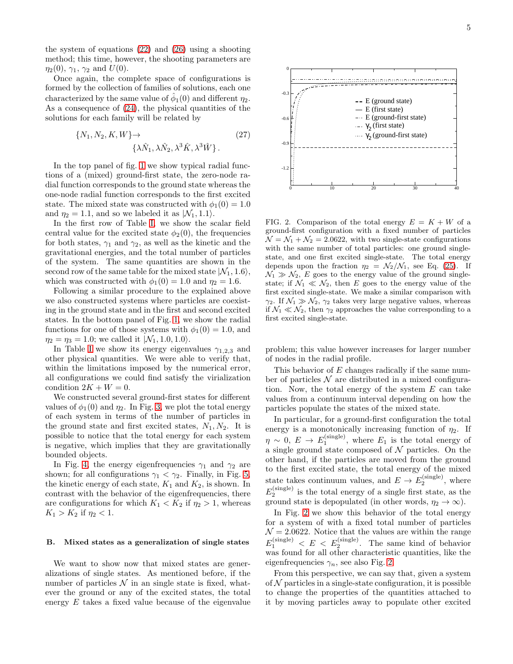the system of equations [\(22\)](#page-2-3) and [\(26\)](#page-3-4) using a shooting method; this time, however, the shooting parameters are  $\eta_2(0), \, \gamma_1, \, \gamma_2 \text{ and } U(0).$ 

Once again, the complete space of configurations is formed by the collection of families of solutions, each one characterized by the same value of  $\hat{\phi}_1(0)$  and different  $\eta_2$ . As a consequence of [\(24\)](#page-3-3), the physical quantities of the solutions for each family will be related by

$$
\{N_1, N_2, K, W\} \rightarrow \qquad (27)
$$

$$
\{\lambda \hat{N}_1, \lambda \hat{N}_2, \lambda^3 \hat{K}, \lambda^3 \hat{W}\}.
$$

In the top panel of fig. [1](#page-2-4) we show typical radial functions of a (mixed) ground-first state, the zero-node radial function corresponds to the ground state whereas the one-node radial function corresponds to the first excited state. The mixed state was constructed with  $\phi_1(0) = 1.0$ and  $\eta_2 = 1.1$ , and so we labeled it as  $|\mathcal{N}_1, 1.1\rangle$ .

In the first row of Table [I,](#page-3-0) we show the scalar field central value for the excited state  $\phi_2(0)$ , the frequencies for both states,  $\gamma_1$  and  $\gamma_2$ , as well as the kinetic and the gravitational energies, and the total number of particles of the system. The same quantities are shown in the second row of the same table for the mixed state  $|N_1, 1.6\rangle$ , which was constructed with  $\phi_1(0) = 1.0$  and  $\eta_2 = 1.6$ .

Following a similar procedure to the explained above we also constructed systems where particles are coexisting in the ground state and in the first and second excited states. In the bottom panel of Fig. [1,](#page-2-4) we show the radial functions for one of those systems with  $\phi_1(0) = 1.0$ , and  $\eta_2 = \eta_3 = 1.0$ ; we called it  $|\mathcal{N}_1, 1.0, 1.0\rangle$ .

In Table [I](#page-3-0) we show its energy eigenvalues  $\gamma_{1,2,3}$  and other physical quantities. We were able to verify that, within the limitations imposed by the numerical error, all configurations we could find satisfy the virialization condition  $2K + W = 0$ .

We constructed several ground-first states for different values of  $\phi_1(0)$  and  $\eta_2$ . In Fig. [3,](#page-5-1) we plot the total energy of each system in terms of the number of particles in the ground state and first excited states,  $N_1, N_2$ . It is possible to notice that the total energy for each system is negative, which implies that they are gravitationally bounded objects.

In Fig. [4,](#page-5-2) the energy eigenfrequencies  $\gamma_1$  and  $\gamma_2$  are shown; for all configurations  $\gamma_1 < \gamma_2$ . Finally, in Fig. [5,](#page-5-3) the kinetic energy of each state,  $K_1$  and  $K_2$ , is shown. In contrast with the behavior of the eigenfrequencies, there are configurations for which  $K_1 < K_2$  if  $\eta_2 > 1$ , whereas  $K_1 > K_2$  if  $\eta_2 < 1$ .

## B. Mixed states as a generalization of single states

We want to show now that mixed states are generalizations of single states. As mentioned before, if the number of particles  $\mathcal N$  in an single state is fixed, whatever the ground or any of the excited states, the total energy E takes a fixed value because of the eigenvalue



<span id="page-4-0"></span>FIG. 2. Comparison of the total energy  $E = K + W$  of a ground-first configuration with a fixed number of particles  $\mathcal{N} = \mathcal{N}_1 + \mathcal{N}_2 = 2.0622$ , with two single-state configurations with the same number of total particles: one ground singlestate, and one first excited single-state. The total energy depends upon the fraction  $\eta_2 = \mathcal{N}_2/\mathcal{N}_1$ , see Eq. [\(25\)](#page-3-1). If  $\mathcal{N}_1 \gg \mathcal{N}_2$ , E goes to the energy value of the ground singlestate; if  $\mathcal{N}_1 \ll \mathcal{N}_2$ , then E goes to the energy value of the first excited single-state. We make a similar comparison with  $\gamma_2$ . If  $\mathcal{N}_1 \gg \mathcal{N}_2$ ,  $\gamma_2$  takes very large negative values, whereas if  $\mathcal{N}_1 \ll \mathcal{N}_2$ , then  $\gamma_2$  approaches the value corresponding to a first excited single-state.

problem; this value however increases for larger number of nodes in the radial profile.

This behavior of E changes radically if the same number of particles  $N$  are distributed in a mixed configuration. Now, the total energy of the system  $E$  can take values from a continuum interval depending on how the particles populate the states of the mixed state.

In particular, for a ground-first configuration the total energy is a monotonically increasing function of  $\eta_2$ . If  $\eta \sim 0, E \to E_1^{\text{(single)}}$ , where  $E_1$  is the total energy of a single ground state composed of  $N$  particles. On the other hand, if the particles are moved from the ground to the first excited state, the total energy of the mixed state takes continuum values, and  $E \to E_2^{\text{(single)}}$ , where  $E_2^{\text{(single)}}$  is the total energy of a single first state, as the ground state is depopulated (in other words,  $\eta_2 \to \infty$ ).

In Fig. [2](#page-4-0) we show this behavior of the total energy for a system of with a fixed total number of particles  $\mathcal{N} = 2.0622$ . Notice that the values are within the range  $E_1^{\text{(single)}} < E < E_2^{\text{(single)}}$ . The same kind of behavior was found for all other characteristic quantities, like the eigenfrequencies  $\gamma_n$ , see also Fig. [2.](#page-4-0)

From this perspective, we can say that, given a system of  $N$  particles in a single-state configuration, it is possible to change the properties of the quantities attached to it by moving particles away to populate other excited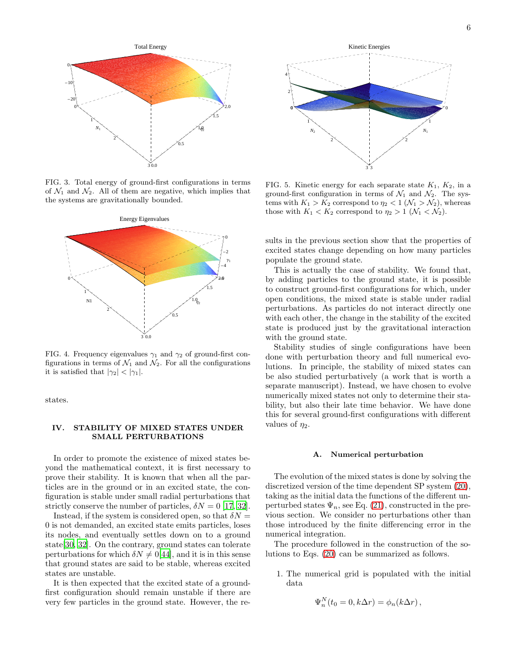

<span id="page-5-1"></span>FIG. 3. Total energy of ground-first configurations in terms of  $\mathcal{N}_1$  and  $\mathcal{N}_2$ . All of them are negative, which implies that the systems are gravitationally bounded.



<span id="page-5-2"></span>FIG. 4. Frequency eigenvalues  $\gamma_1$  and  $\gamma_2$  of ground-first configurations in terms of  $\mathcal{N}_1$  and  $\mathcal{N}_2$ . For all the configurations it is satisfied that  $|\gamma_2| < |\gamma_1|$ .

states.

## <span id="page-5-0"></span>IV. STABILITY OF MIXED STATES UNDER SMALL PERTURBATIONS

In order to promote the existence of mixed states beyond the mathematical context, it is first necessary to prove their stability. It is known that when all the particles are in the ground or in an excited state, the configuration is stable under small radial perturbations that strictly conserve the number of particles,  $\delta N = 0$  [\[17](#page-13-12), [32\]](#page-13-17).

Instead, if the system is considered open, so that  $\delta N =$ 0 is not demanded, an excited state emits particles, loses its nodes, and eventually settles down on to a ground state[\[30,](#page-13-16) [32](#page-13-17)]. On the contrary, ground states can tolerate perturbations for which  $\delta N \neq 0[44]$  $\delta N \neq 0[44]$ , and it is in this sense that ground states are said to be stable, whereas excited states are unstable.

It is then expected that the excited state of a groundfirst configuration should remain unstable if there are very few particles in the ground state. However, the re-



<span id="page-5-3"></span>FIG. 5. Kinetic energy for each separate state  $K_1$ ,  $K_2$ , in a ground-first configuration in terms of  $\mathcal{N}_1$  and  $\mathcal{N}_2$ . The systems with  $K_1 > K_2$  correspond to  $\eta_2 < 1$  ( $\mathcal{N}_1 > \mathcal{N}_2$ ), whereas those with  $K_1 < K_2$  correspond to  $\eta_2 > 1$  ( $\mathcal{N}_1 < \mathcal{N}_2$ ).

sults in the previous section show that the properties of excited states change depending on how many particles populate the ground state.

This is actually the case of stability. We found that, by adding particles to the ground state, it is possible to construct ground-first configurations for which, under open conditions, the mixed state is stable under radial perturbations. As particles do not interact directly one with each other, the change in the stability of the excited state is produced just by the gravitational interaction with the ground state.

Stability studies of single configurations have been done with perturbation theory and full numerical evolutions. In principle, the stability of mixed states can be also studied perturbatively (a work that is worth a separate manuscript). Instead, we have chosen to evolve numerically mixed states not only to determine their stability, but also their late time behavior. We have done this for several ground-first configurations with different values of  $\eta_2$ .

#### <span id="page-5-4"></span>A. Numerical perturbation

The evolution of the mixed states is done by solving the discretized version of the time dependent SP system [\(20\)](#page-2-2), taking as the initial data the functions of the different unperturbed states  $\Psi_n$ , see Eq. [\(21\)](#page-2-5), constructed in the previous section. We consider no perturbations other than those introduced by the finite differencing error in the numerical integration.

The procedure followed in the construction of the solutions to Eqs. [\(20\)](#page-2-2) can be summarized as follows.

1. The numerical grid is populated with the initial data

$$
\Psi_n^N(t_0=0,k\Delta r)=\phi_n(k\Delta r),
$$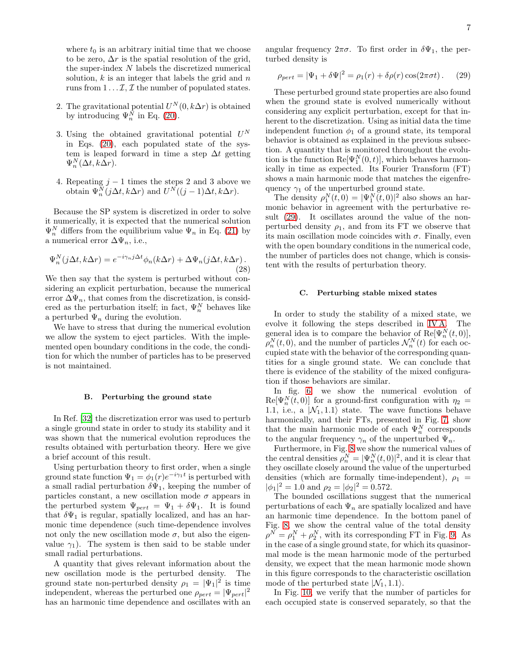where  $t_0$  is an arbitrary initial time that we choose to be zero,  $\Delta r$  is the spatial resolution of the grid, the super-index N labels the discretized numerical solution,  $k$  is an integer that labels the grid and  $n$ runs from  $1 \ldots \mathcal{I}, \mathcal{I}$  the number of populated states.

- 2. The gravitational potential  $U^N(0, k\Delta r)$  is obtained by introducing  $\Psi_n^N$  in Eq. [\(20\)](#page-2-2).
- 3. Using the obtained gravitational potential  $U^N$ in Eqs. [\(20\)](#page-2-2), each populated state of the system is leaped forward in time a step  $\Delta t$  getting  $\Psi_n^N(\Delta t, k\Delta r)$ .
- 4. Repeating  $j 1$  times the steps 2 and 3 above we obtain  $\Psi_n^N(j\Delta t, k\Delta r)$  and  $U^N((j-1)\Delta t, k\Delta r)$ .

Because the SP system is discretized in order to solve it numerically, it is expected that the numerical solution  $\Psi_n^N$  differs from the equilibrium value  $\Psi_n$  in Eq. [\(21\)](#page-2-5) by a numerical error  $\Delta \Psi_n$ , i.e.,

$$
\Psi_n^N(j\Delta t, k\Delta r) = e^{-i\gamma_n j\Delta t} \phi_n(k\Delta r) + \Delta \Psi_n(j\Delta t, k\Delta r).
$$
\n(28)

We then say that the system is perturbed without considering an explicit perturbation, because the numerical error  $\Delta \Psi_n$ , that comes from the discretization, is considered as the perturbation itself; in fact,  $\Psi_n^N$  behaves like a perturbed  $\Psi_n$  during the evolution.

We have to stress that during the numerical evolution we allow the system to eject particles. With the implemented open boundary conditions in the code, the condition for which the number of particles has to be preserved is not maintained.

# <span id="page-6-1"></span>B. Perturbing the ground state

In Ref. [\[32\]](#page-13-17) the discretization error was used to perturb a single ground state in order to study its stability and it was shown that the numerical evolution reproduces the results obtained with perturbation theory. Here we give a brief account of this result.

Using perturbation theory to first order, when a single ground state function  $\Psi_1 = \phi_1(r) e^{-i \gamma_1 t}$  is perturbed with a small radial perturbation  $\delta\Psi_1$ , keeping the number of particles constant, a new oscillation mode  $\sigma$  appears in the perturbed system  $\Psi_{pert} = \Psi_1 + \delta \Psi_1$ . It is found that  $\delta\Psi_1$  is regular, spatially localized, and has an harmonic time dependence (such time-dependence involves not only the new oscillation mode  $\sigma$ , but also the eigenvalue  $\gamma_1$ ). The system is then said to be stable under small radial perturbations.

A quantity that gives relevant information about the new oscillation mode is the perturbed density. The ground state non-perturbed density  $\rho_1 = |\Psi_1|^2$  is time independent, whereas the perturbed one  $\rho_{pert} = |\Psi_{pert}|^2$ has an harmonic time dependence and oscillates with an

angular frequency  $2\pi\sigma$ . To first order in  $\delta\Psi_1$ , the perturbed density is

<span id="page-6-0"></span>
$$
\rho_{pert} = |\Psi_1 + \delta \Psi|^2 = \rho_1(r) + \delta \rho(r) \cos(2\pi \sigma t). \tag{29}
$$

These perturbed ground state properties are also found when the ground state is evolved numerically without considering any explicit perturbation, except for that inherent to the discretization. Using as initial data the time independent function  $\phi_1$  of a ground state, its temporal behavior is obtained as explained in the previous subsection. A quantity that is monitored throughout the evolution is the function  $\text{Re}[\Psi_1^N(0,t)]$ , which behaves harmonically in time as expected. Its Fourier Transform (FT) shows a main harmonic mode that matches the eigenfrequency  $\gamma_1$  of the unperturbed ground state.

The density  $\rho_1^N(t,0) = |\Psi_1^N(t,0)|^2$  also shows an harmonic behavior in agreement with the perturbative result [\(29\)](#page-6-0). It oscillates around the value of the nonperturbed density  $\rho_1$ , and from its FT we observe that its main oscillation mode coincides with  $\sigma$ . Finally, even with the open boundary conditions in the numerical code, the number of particles does not change, which is consistent with the results of perturbation theory.

### C. Perturbing stable mixed states

In order to study the stability of a mixed state, we evolve it following the steps described in [IV A.](#page-5-4) The general idea is to compare the behavior of  $\text{Re}[\Psi_n^N(t,0)],$  $\rho_n^N(t,0)$ , and the number of particles  $\mathcal{N}_n^N(t)$  for each occupied state with the behavior of the corresponding quantities for a single ground state. We can conclude that there is evidence of the stability of the mixed configuration if those behaviors are similar.

In fig. [6,](#page-7-0) we show the numerical evolution of  $\text{Re}[\Psi_n^N(t,0)]$  for a ground-first configuration with  $\eta_2 =$ 1.1, i.e., a  $|N_1, 1.1\rangle$  state. The wave functions behave harmonically, and their FTs, presented in Fig. [7,](#page-7-1) show that the main harmonic mode of each  $\Psi_n^N$  corresponds to the angular frequency  $\gamma_n$  of the unperturbed  $\Psi_n$ .

Furthermore, in Fig. [8](#page-8-0) we show the numerical values of the central densities  $\rho_n^N = |\Psi_n^N(t, 0)|^2$ , and it is clear that they oscillate closely around the value of the unperturbed densities (which are formally time-independent),  $\rho_1$  =  $|\phi_1|^2 = 1.0$  and  $\rho_2 = |\phi_2|^2 = 0.572$ .

The bounded oscillations suggest that the numerical perturbations of each  $\Psi_n$  are spatially localized and have an harmonic time dependence. In the bottom panel of Fig. [8,](#page-8-0) we show the central value of the total density  $\rho^N = \rho_1^N + \rho_2^N$ , with its corresponding FT in Fig. [9.](#page-8-1) As in the case of a single ground state, for which its quasinormal mode is the mean harmonic mode of the perturbed density, we expect that the mean harmonic mode shown in this figure corresponds to the characteristic oscillation mode of the perturbed state  $|\mathcal{N}_1, 1.1\rangle$ .

In Fig. [10,](#page-9-0) we verify that the number of particles for each occupied state is conserved separately, so that the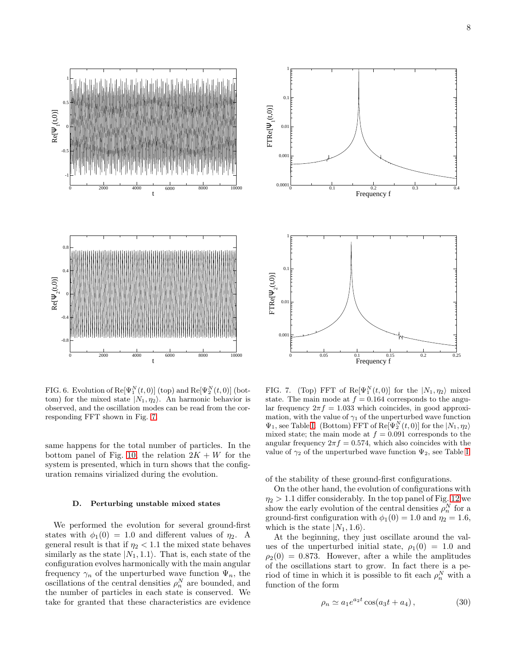

<span id="page-7-0"></span>FIG. 6. Evolution of  $\text{Re}[\Psi_1^N(t,0)]$  (top) and  $\text{Re}[\Psi_2^N(t,0)]$  (bottom) for the mixed state  $|N_1, \eta_2\rangle$ . An harmonic behavior is observed, and the oscillation modes can be read from the corresponding FFT shown in Fig. [7.](#page-7-1)

same happens for the total number of particles. In the bottom panel of Fig. [10,](#page-9-0) the relation  $2K + W$  for the system is presented, which in turn shows that the configuration remains virialized during the evolution.

#### <span id="page-7-3"></span>D. Perturbing unstable mixed states

We performed the evolution for several ground-first states with  $\phi_1(0) = 1.0$  and different values of  $\eta_2$ . A general result is that if  $\eta_2 < 1.1$  the mixed state behaves similarly as the state  $|N_1, 1.1\rangle$ . That is, each state of the configuration evolves harmonically with the main angular frequency  $\gamma_n$  of the unperturbed wave function  $\Psi_n$ , the oscillations of the central densities  $\rho_n^N$  are bounded, and the number of particles in each state is conserved. We take for granted that these characteristics are evidence



<span id="page-7-1"></span>FIG. 7. (Top) FFT of  $\text{Re}[\Psi_1^N(t,0)]$  for the  $|N_1,\eta_2\rangle$  mixed state. The main mode at  $f = 0.164$  corresponds to the angular frequency  $2\pi f = 1.033$  which coincides, in good approximation, with the value of  $\gamma_1$  of the unperturbed wave function  $\Psi_1$ , see Table [I.](#page-3-0) (Bottom) FFT of  $\text{Re}[\Psi_2^N(t,0)]$  for the  $|N_1,\eta_2\rangle$ mixed state; the main mode at  $f = 0.091$  corresponds to the angular frequency  $2\pi f = 0.574$ , which also coincides with the value of  $\gamma_2$  of the unperturbed wave function  $\Psi_2$ , see Table [I.](#page-3-0)

of the stability of these ground-first configurations.

On the other hand, the evolution of configurations with  $\eta_2 > 1.1$  differ considerably. In the top panel of Fig. [12](#page-10-1) we show the early evolution of the central densities  $\rho_n^N$  for a ground-first configuration with  $\phi_1(0) = 1.0$  and  $\eta_2 = 1.6$ , which is the state  $|N_1, 1.6\rangle$ .

At the beginning, they just oscillate around the values of the unperturbed initial state,  $\rho_1(0) = 1.0$  and  $\rho_2(0) = 0.873$ . However, after a while the amplitudes of the oscillations start to grow. In fact there is a period of time in which it is possible to fit each  $\rho_n^N$  with a function of the form

<span id="page-7-2"></span>
$$
\rho_n \simeq a_1 e^{a_2 t} \cos(a_3 t + a_4), \qquad (30)
$$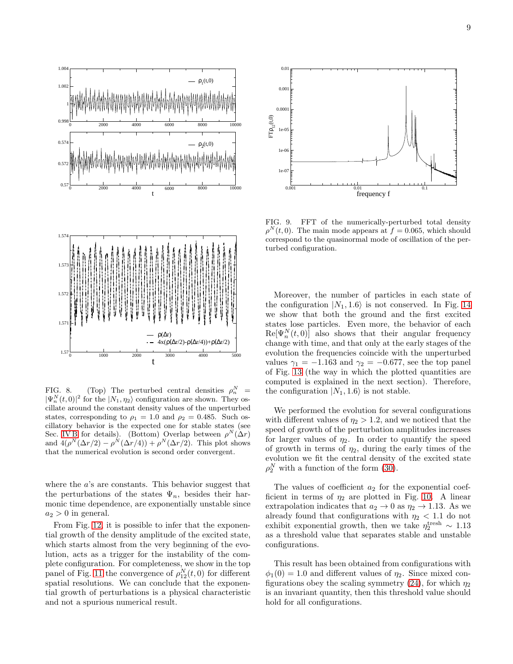

<span id="page-8-0"></span>FIG. 8. (Top) The perturbed central densities  $\rho_n^N$  =  $|\Psi_n^N(t,0)|^2$  for the  $|N_1,\eta_2\rangle$  configuration are shown. They oscillate around the constant density values of the unperturbed states, corresponding to  $\rho_1 = 1.0$  and  $\rho_2 = 0.485$ . Such oscillatory behavior is the expected one for stable states (see Sec. [IV B](#page-6-1) for details). (Bottom) Overlap between  $\rho^N(\Delta r)$ and  $4(\rho^N(\Delta r/2) - \rho^N(\Delta r/4)) + \rho^N(\Delta r/2)$ . This plot shows that the numerical evolution is second order convergent.

where the a's are constants. This behavior suggest that the perturbations of the states  $\Psi_n$ , besides their harmonic time dependence, are exponentially unstable since  $a_2 > 0$  in general.

From Fig. [12,](#page-10-1) it is possible to infer that the exponential growth of the density amplitude of the excited state, which starts almost from the very beginning of the evolution, acts as a trigger for the instability of the complete configuration. For completeness, we show in the top panel of Fig. [11](#page-9-1) the convergence of  $\rho_{12}^N(t,0)$  for different spatial resolutions. We can conclude that the exponential growth of perturbations is a physical characteristic and not a spurious numerical result.



<span id="page-8-1"></span>FIG. 9. FFT of the numerically-perturbed total density  $\rho^{N}(t,0)$ . The main mode appears at  $f = 0.065$ , which should correspond to the quasinormal mode of oscillation of the perturbed configuration.

Moreover, the number of particles in each state of the configuration  $|N_1, 1.6\rangle$  is not conserved. In Fig. [14](#page-11-0) we show that both the ground and the first excited states lose particles. Even more, the behavior of each  $\text{Re}[\Psi_n^N(t,0)]$  also shows that their angular frequency change with time, and that only at the early stages of the evolution the frequencies coincide with the unperturbed values  $\gamma_1 = -1.163$  and  $\gamma_2 = -0.677$ , see the top panel of Fig. [13](#page-11-1) (the way in which the plotted quantities are computed is explained in the next section). Therefore, the configuration  $|N_1, 1.6\rangle$  is not stable.

We performed the evolution for several configurations with different values of  $\eta_2 > 1.2$ , and we noticed that the speed of growth of the perturbation amplitudes increases for larger values of  $\eta_2$ . In order to quantify the speed of growth in terms of  $\eta_2$ , during the early times of the evolution we fit the central density of the excited state  $\rho_2^N$  with a function of the form [\(30\)](#page-7-2).

The values of coefficient  $a_2$  for the exponential coefficient in terms of  $\eta_2$  are plotted in Fig. [10.](#page-9-0) A linear extrapolation indicates that  $a_2 \rightarrow 0$  as  $\eta_2 \rightarrow 1.13$ . As we already found that configurations with  $\eta_2$  < 1.1 do not exhibit exponential growth, then we take  $\eta_2^{\text{tresh}} \sim 1.13$ as a threshold value that separates stable and unstable configurations.

This result has been obtained from configurations with  $\phi_1(0) = 1.0$  and different values of  $\eta_2$ . Since mixed con-figurations obey the scaling symmetry [\(24\)](#page-3-3), for which  $\eta_2$ is an invariant quantity, then this threshold value should hold for all configurations.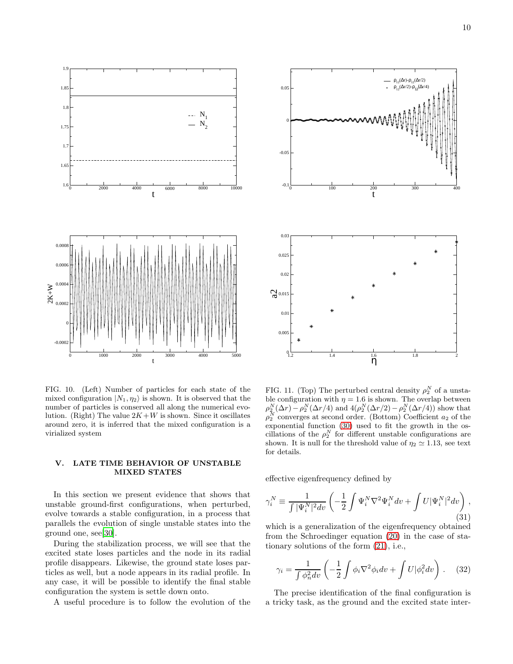

<span id="page-9-0"></span>FIG. 10. (Left) Number of particles for each state of the mixed configuration  $|N_1, \eta_2\rangle$  is shown. It is observed that the number of particles is conserved all along the numerical evolution. (Right) The value  $2K+W$  is shown. Since it oscillates around zero, it is inferred that the mixed configuration is a virialized system

## V. LATE TIME BEHAVIOR OF UNSTABLE MIXED STATES

In this section we present evidence that shows that unstable ground-first configurations, when perturbed, evolve towards a stable configuration, in a process that parallels the evolution of single unstable states into the ground one, see[\[30\]](#page-13-16).

During the stabilization process, we will see that the excited state loses particles and the node in its radial profile disappears. Likewise, the ground state loses particles as well, but a node appears in its radial profile. In any case, it will be possible to identify the final stable configuration the system is settle down onto.

A useful procedure is to follow the evolution of the



<span id="page-9-1"></span>FIG. 11. (Top) The perturbed central density  $\rho_2^N$  of a unstable configuration with  $\eta = 1.6$  is shown. The overlap between  $\rho_2^N(\Delta r) - \rho_2^N(\Delta r/4)$  and  $4(\rho_2^N(\Delta r/2) - \rho_2^N(\Delta r/4))$  show that  $\rho_2^N$  converges at second order. (Bottom) Coefficient  $a_2$  of the exponential function [\(30\)](#page-7-2) used to fit the growth in the oscillations of the  $\rho_2^N$  for different unstable configurations are shown. It is null for the threshold value of  $\eta_2 \simeq 1.13$ , see text for details.

effective eigenfrequency defined by

$$
\gamma_i^N \equiv \frac{1}{\int |\Psi_i^N|^2 dv} \left( -\frac{1}{2} \int \Psi_i^N \nabla^2 \Psi_i^N dv + \int U |\Psi_i^N|^2 dv \right),\tag{31}
$$

which is a generalization of the eigenfrequency obtained from the Schroedinger equation [\(20\)](#page-2-2) in the case of stationary solutions of the form [\(21\)](#page-2-5), i.e.,

$$
\gamma_i = \frac{1}{\int \phi_n^2 dv} \left( -\frac{1}{2} \int \phi_i \nabla^2 \phi_i dv + \int U |\phi_i^2 dv \right). \tag{32}
$$

The precise identification of the final configuration is a tricky task, as the ground and the excited state inter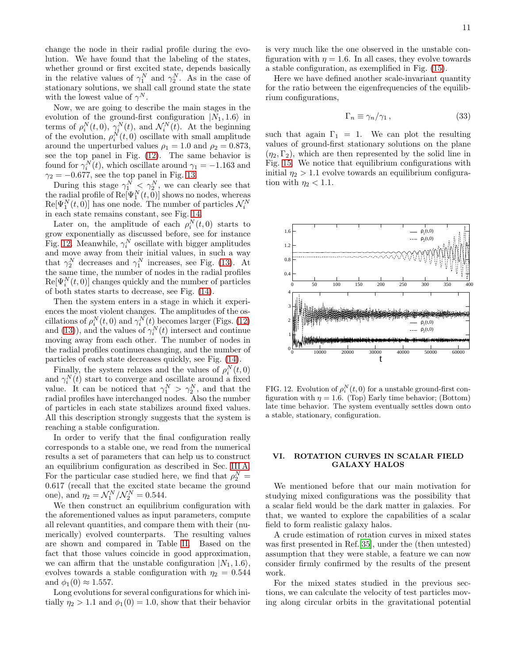change the node in their radial profile during the evolution. We have found that the labeling of the states, whether ground or first excited state, depends basically in the relative values of  $\gamma_1^N$  and  $\gamma_2^N$ . As in the case of stationary solutions, we shall call ground state the state with the lowest value of  $\gamma^N$ .

Now, we are going to describe the main stages in the evolution of the ground-first configuration  $|N_1, 1.6\rangle$  in terms of  $\rho_i^N(t,0)$ ,  $\gamma_i^N(t)$ , and  $\mathcal{N}_i^N(t)$ . At the beginning of the evolution,  $\rho_i^N(t,0)$  oscillate with small amplitude around the unperturbed values  $\rho_1 = 1.0$  and  $\rho_2 = 0.873$ , see the top panel in Fig. [\(12\)](#page-10-1). The same behavior is found for  $\gamma_i^N(t)$ , which oscillate around  $\gamma_1 = -1.163$  and  $\gamma_2 = -0.677$ , see the top panel in Fig. [13.](#page-11-1)

During this stage  $\gamma_1^N \leq \gamma_2^N$ , we can clearly see that the radial profile of  $\text{Re}[\Psi_1^N(t, 0)]$  shows no nodes, whereas  $\text{Re}[\Psi_1^N(t,0)]$  has one node. The number of particles  $\mathcal{N}_i^N$ in each state remains constant, see Fig. [14.](#page-11-0)

Later on, the amplitude of each  $\rho_i^N(t,0)$  starts to grow exponentially as discussed before, see for instance Fig. [12.](#page-10-1) Meanwhile,  $\gamma_i^N$  oscillate with bigger amplitudes and move away from their initial values, in such a way that  $\gamma_2^N$  decreases and  $\gamma_1^N$  increases, see Fig. [\(13\)](#page-11-1). At the same time, the number of nodes in the radial profiles  $\text{Re}[\Psi_i^N(t,0)]$  changes quickly and the number of particles of both states starts to decrease, see Fig. [\(14\)](#page-11-0).

Then the system enters in a stage in which it experiences the most violent changes. The amplitudes of the oscillations of  $\rho_i^N(t,0)$  and  $\gamma_i^N(t)$  becomes larger (Figs. [\(12\)](#page-10-1) and [\(13\)](#page-11-1)), and the values of  $\gamma_i^N(t)$  intersect and continue moving away from each other. The number of nodes in the radial profiles continues changing, and the number of particles of each state decreases quickly, see Fig. [\(14\)](#page-11-0).

Finally, the system relaxes and the values of  $\rho_i^N(t,0)$ and  $\gamma_i^N(t)$  start to converge and oscillate around a fixed value. It can be noticed that  $\gamma_1^N > \gamma_2^N$ , and that the radial profiles have interchanged nodes. Also the number of particles in each state stabilizes around fixed values. All this description strongly suggests that the system is reaching a stable configuration.

In order to verify that the final configuration really corresponds to a stable one, we read from the numerical results a set of parameters that can help us to construct an equilibrium configuration as described in Sec. [III A.](#page-3-5) For the particular case studied here, we find that  $\rho_2^N =$ 0.617 (recall that the excited state became the ground one), and  $\eta_2 = \mathcal{N}_1^N / \mathcal{N}_2^N = 0.544$ .

We then construct an equilibrium configuration with the aforementioned values as input parameters, compute all relevant quantities, and compare them with their (numerically) evolved counterparts. The resulting values are shown and compared in Table [II.](#page-11-2) Based on the fact that those values coincide in good approximation, we can affirm that the unstable configuration  $|N_1, 1.6\rangle$ , evolves towards a stable configuration with  $\eta_2 = 0.544$ and  $\phi_1(0) \approx 1.557$ .

Long evolutions for several configurations for which initially  $\eta_2 > 1.1$  and  $\phi_1(0) = 1.0$ , show that their behavior is very much like the one observed in the unstable configuration with  $\eta = 1.6$ . In all cases, they evolve towards a stable configuration, as exemplified in Fig. [\(15\)](#page-12-4).

Here we have defined another scale-invariant quantity for the ratio between the eigenfrequencies of the equilibrium configurations,

<span id="page-10-2"></span>
$$
\Gamma_n \equiv \gamma_n / \gamma_1 \,, \tag{33}
$$

such that again  $\Gamma_1 = 1$ . We can plot the resulting values of ground-first stationary solutions on the plane  $(\eta_2, \Gamma_2)$ , which are then represented by the solid line in Fig. [15.](#page-12-4) We notice that equilibrium configurations with initial  $\eta_2 > 1.1$  evolve towards an equilibrium configuration with  $\eta_2 < 1.1$ .



<span id="page-10-1"></span>FIG. 12. Evolution of  $\rho_i^N(t,0)$  for a unstable ground-first configuration with  $\eta = 1.6$ . (Top) Early time behavior; (Bottom) late time behavior. The system eventually settles down onto a stable, stationary, configuration.

# <span id="page-10-0"></span>VI. ROTATION CURVES IN SCALAR FIELD GALAXY HALOS

We mentioned before that our main motivation for studying mixed configurations was the possibility that a scalar field would be the dark matter in galaxies. For that, we wanted to explore the capabilities of a scalar field to form realistic galaxy halos.

A crude estimation of rotation curves in mixed states was first presented in Ref.[\[35\]](#page-13-21), under the (then untested) assumption that they were stable, a feature we can now consider firmly confirmed by the results of the present work.

For the mixed states studied in the previous sections, we can calculate the velocity of test particles moving along circular orbits in the gravitational potential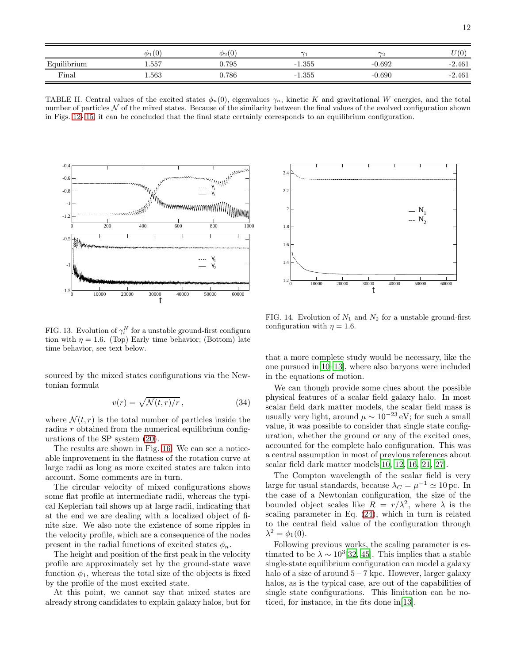|             | $\phi_1(0)$ | $\phi_2(0)$ | $\sim$   |          | U(0      |
|-------------|-------------|-------------|----------|----------|----------|
| Equilibrium | 1.557       | ${0.795}$   | $-1.355$ | $-0.692$ | $-2.461$ |
| Final       | 1.563       | 0.786       | $-1.355$ | -0.690   | $-2.461$ |

<span id="page-11-2"></span>TABLE II. Central values of the excited states  $\phi_n(0)$ , eigenvalues  $\gamma_n$ , kinetic K and gravitational W energies, and the total number of particles  $N$  of the mixed states. Because of the similarity between the final values of the evolved configuration shown in Figs. [12-](#page-10-1) [15,](#page-12-4) it can be concluded that the final state certainly corresponds to an equilibrium configuration.



<span id="page-11-1"></span>FIG. 13. Evolution of  $\gamma_i^N$  for a unstable ground-first configura tion with  $\eta = 1.6$ . (Top) Early time behavior; (Bottom) late time behavior, see text below.

sourced by the mixed states configurations via the Newtonian formula

<span id="page-11-3"></span>
$$
v(r) = \sqrt{\mathcal{N}(t, r)/r},\tag{34}
$$

where  $\mathcal{N}(t,r)$  is the total number of particles inside the radius  $r$  obtained from the numerical equilibrium configurations of the SP system [\(20\)](#page-2-2).

The results are shown in Fig. [16.](#page-12-5) We can see a noticeable improvement in the flatness of the rotation curve at large radii as long as more excited states are taken into account. Some comments are in turn.

The circular velocity of mixed configurations shows some flat profile at intermediate radii, whereas the typical Keplerian tail shows up at large radii, indicating that at the end we are dealing with a localized object of finite size. We also note the existence of some ripples in the velocity profile, which are a consequence of the nodes present in the radial functions of excited states  $\phi_n$ .

The height and position of the first peak in the velocity profile are approximately set by the ground-state wave function  $\phi_1$ , whereas the total size of the objects is fixed by the profile of the most excited state.

At this point, we cannot say that mixed states are already strong candidates to explain galaxy halos, but for



<span id="page-11-0"></span>FIG. 14. Evolution of  $N_1$  and  $N_2$  for a unstable ground-first configuration with  $\eta = 1.6$ .

that a more complete study would be necessary, like the one pursued in[\[10](#page-13-3)[–13\]](#page-13-15), where also baryons were included in the equations of motion.

We can though provide some clues about the possible physical features of a scalar field galaxy halo. In most scalar field dark matter models, the scalar field mass is usually very light, around  $\mu \sim 10^{-23}$  eV; for such a small value, it was possible to consider that single state configuration, whether the ground or any of the excited ones, accounted for the complete halo configuration. This was a central assumption in most of previous references about scalar field dark matter models[\[10,](#page-13-3) [12,](#page-13-11) [16,](#page-13-7) [21,](#page-13-30) [27\]](#page-13-9).

The Compton wavelength of the scalar field is very large for usual standards, because  $\lambda_C = \mu^{-1} \simeq 10 \,\text{pc}$ . In the case of a Newtonian configuration, the size of the bounded object scales like  $R = r/\lambda^2$ , where  $\lambda$  is the scaling parameter in Eq. [\(24\)](#page-3-3), which in turn is related to the central field value of the configuration through  $\lambda^2 = \phi_1(0).$ 

Following previous works, the scaling parameter is estimated to be  $\lambda \sim 10^3[32, 45]$  $\lambda \sim 10^3[32, 45]$  $\lambda \sim 10^3[32, 45]$  $\lambda \sim 10^3[32, 45]$ . This implies that a stable single-state equilibrium configuration can model a galaxy halo of a size of around 5−7 kpc. However, larger galaxy halos, as is the typical case, are out of the capabilities of single state configurations. This limitation can be noticed, for instance, in the fits done in[\[13](#page-13-15)].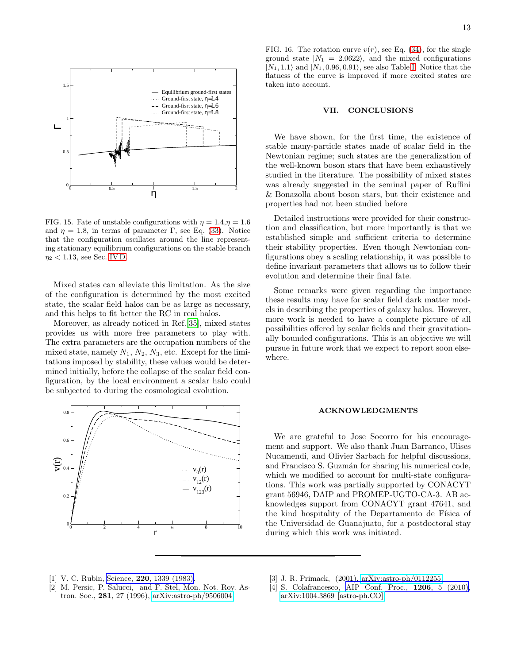

<span id="page-12-4"></span>FIG. 15. Fate of unstable configurations with  $\eta = 1.4, \eta = 1.6$ and  $\eta = 1.8$ , in terms of parameter Γ, see Eq. [\(33\)](#page-10-2). Notice that the configuration oscillates around the line representing stationary equilibrium configurations on the stable branch  $\eta_2$  < 1.13, see Sec. [IV D.](#page-7-3)

Mixed states can alleviate this limitation. As the size of the configuration is determined by the most excited state, the scalar field halos can be as large as necessary, and this helps to fit better the RC in real halos.

Moreover, as already noticed in Ref.[\[35](#page-13-21)], mixed states provides us with more free parameters to play with. The extra parameters are the occupation numbers of the mixed state, namely  $N_1$ ,  $N_2$ ,  $N_3$ , etc. Except for the limitations imposed by stability, these values would be determined initially, before the collapse of the scalar field configuration, by the local environment a scalar halo could be subjected to during the cosmological evolution.



13

<span id="page-12-5"></span>FIG. 16. The rotation curve  $v(r)$ , see Eq. [\(34\)](#page-11-3), for the single ground state  $|N_1 = 2.0622\rangle$ , and the mixed configurations  $|N_1, 1.1\rangle$  and  $|N_1, 0.96, 0.91\rangle$ , see also Table [I.](#page-3-0) Notice that the flatness of the curve is improved if more excited states are taken into account.

## <span id="page-12-3"></span>VII. CONCLUSIONS

We have shown, for the first time, the existence of stable many-particle states made of scalar field in the Newtonian regime; such states are the generalization of the well-known boson stars that have been exhaustively studied in the literature. The possibility of mixed states was already suggested in the seminal paper of Ruffini & Bonazolla about boson stars, but their existence and properties had not been studied before

Detailed instructions were provided for their construction and classification, but more importantly is that we established simple and sufficient criteria to determine their stability properties. Even though Newtonian configurations obey a scaling relationship, it was possible to define invariant parameters that allows us to follow their evolution and determine their final fate.

Some remarks were given regarding the importance these results may have for scalar field dark matter models in describing the properties of galaxy halos. However, more work is needed to have a complete picture of all possibilities offered by scalar fields and their gravitationally bounded configurations. This is an objective we will pursue in future work that we expect to report soon elsewhere.

### ACKNOWLEDGMENTS

We are grateful to Jose Socorro for his encouragement and support. We also thank Juan Barranco, Ulises Nucamendi, and Olivier Sarbach for helpful discussions, and Francisco S. Guzmán for sharing his numerical code, which we modified to account for multi-state configurations. This work was partially supported by CONACYT grant 56946, DAIP and PROMEP-UGTO-CA-3. AB acknowledges support from CONACYT grant 47641, and the kind hospitality of the Departamento de Física of the Universidad de Guanajuato, for a postdoctoral stay during which this work was initiated.

- <span id="page-12-0"></span>[1] V. C. Rubin, Science, **220**[, 1339 \(1983\).](http://dx.doi.org/10.1126/science.220.4604.1339)
- [2] M. Persic, P. Salucci, and F. Stel, Mon. Not. Roy. Astron. Soc., 281, 27 (1996), [arXiv:astro-ph/9506004.](http://arxiv.org/abs/astro-ph/9506004)
- <span id="page-12-1"></span>[3] J. R. Primack, (2001), [arXiv:astro-ph/0112255.](http://arxiv.org/abs/astro-ph/0112255)
- <span id="page-12-2"></span>[4] S. Colafrancesco, [AIP Conf. Proc.,](http://dx.doi.org/10.1063/1.3292512) **1206**, 5 (2010), [arXiv:1004.3869 \[astro-ph.CO\].](http://arxiv.org/abs/1004.3869)